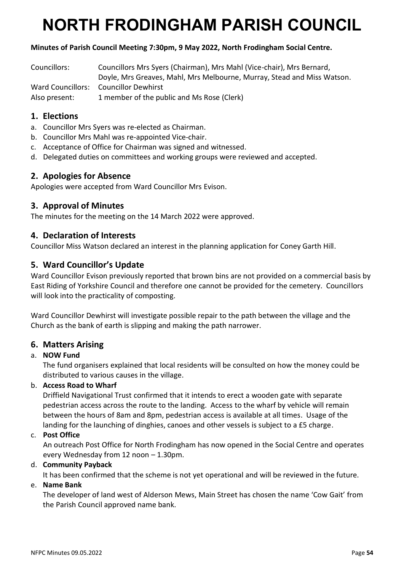# **NORTH FRODINGHAM PARISH COUNCIL**

## **Minutes of Parish Council Meeting 7:30pm, 9 May 2022, North Frodingham Social Centre.**

| Councillors:        | Councillors Mrs Syers (Chairman), Mrs Mahl (Vice-chair), Mrs Bernard,   |
|---------------------|-------------------------------------------------------------------------|
|                     | Doyle, Mrs Greaves, Mahl, Mrs Melbourne, Murray, Stead and Miss Watson. |
| Ward Councillors: \ | Councillor Dewhirst                                                     |
| Also present:       | 1 member of the public and Ms Rose (Clerk)                              |

## **1. Elections**

- a. Councillor Mrs Syers was re-elected as Chairman.
- b. Councillor Mrs Mahl was re-appointed Vice-chair.
- c. Acceptance of Office for Chairman was signed and witnessed.
- d. Delegated duties on committees and working groups were reviewed and accepted.

## **2. Apologies for Absence**

Apologies were accepted from Ward Councillor Mrs Evison.

## **3. Approval of Minutes**

The minutes for the meeting on the 14 March 2022 were approved.

## **4. Declaration of Interests**

Councillor Miss Watson declared an interest in the planning application for Coney Garth Hill.

## **5. Ward Councillor's Update**

Ward Councillor Evison previously reported that brown bins are not provided on a commercial basis by East Riding of Yorkshire Council and therefore one cannot be provided for the cemetery. Councillors will look into the practicality of composting.

Ward Councillor Dewhirst will investigate possible repair to the path between the village and the Church as the bank of earth is slipping and making the path narrower.

## **6. Matters Arising**

#### a. **NOW Fund**

The fund organisers explained that local residents will be consulted on how the money could be distributed to various causes in the village.

#### b. **Access Road to Wharf**

Driffield Navigational Trust confirmed that it intends to erect a wooden gate with separate pedestrian access across the route to the landing. Access to the wharf by vehicle will remain between the hours of 8am and 8pm, pedestrian access is available at all times. Usage of the landing for the launching of dinghies, canoes and other vessels is subject to a £5 charge.

#### c. **Post Office**

An outreach Post Office for North Frodingham has now opened in the Social Centre and operates every Wednesday from 12 noon – 1.30pm.

#### d. **Community Payback**

It has been confirmed that the scheme is not yet operational and will be reviewed in the future.

#### e. **Name Bank**

The developer of land west of Alderson Mews, Main Street has chosen the name 'Cow Gait' from the Parish Council approved name bank.